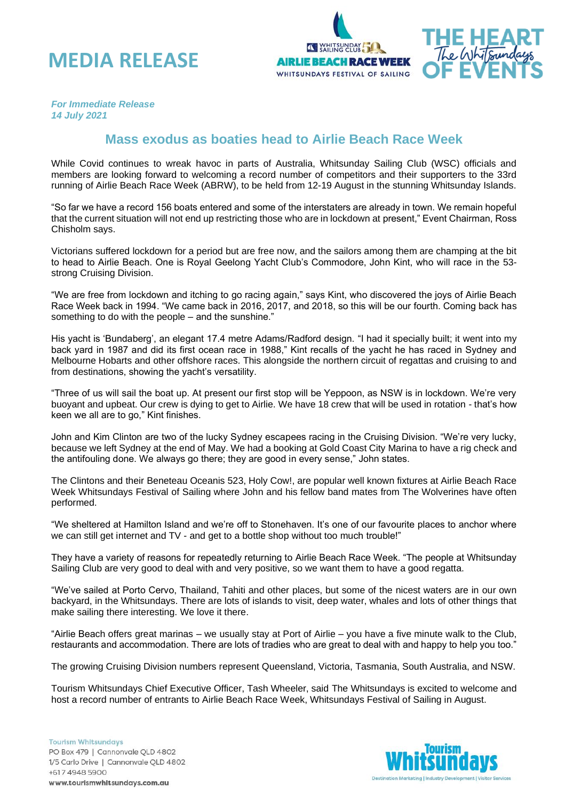



*For Immediate Release 14 July 2021*

## **Mass exodus as boaties head to Airlie Beach Race Week**

While Covid continues to wreak havoc in parts of Australia, Whitsunday Sailing Club (WSC) officials and members are looking forward to welcoming a record number of competitors and their supporters to the 33rd running of Airlie Beach Race Week (ABRW), to be held from 12-19 August in the stunning Whitsunday Islands.

"So far we have a record 156 boats entered and some of the interstaters are already in town. We remain hopeful that the current situation will not end up restricting those who are in lockdown at present," Event Chairman, Ross Chisholm says.

Victorians suffered lockdown for a period but are free now, and the sailors among them are champing at the bit to head to Airlie Beach. One is Royal Geelong Yacht Club's Commodore, John Kint, who will race in the 53 strong Cruising Division.

"We are free from lockdown and itching to go racing again," says Kint, who discovered the joys of Airlie Beach Race Week back in 1994. "We came back in 2016, 2017, and 2018, so this will be our fourth. Coming back has something to do with the people – and the sunshine."

His yacht is 'Bundaberg', an elegant 17.4 metre Adams/Radford design. "I had it specially built; it went into my back yard in 1987 and did its first ocean race in 1988," Kint recalls of the yacht he has raced in Sydney and Melbourne Hobarts and other offshore races. This alongside the northern circuit of regattas and cruising to and from destinations, showing the yacht's versatility.

"Three of us will sail the boat up. At present our first stop will be Yeppoon, as NSW is in lockdown. We're very buoyant and upbeat. Our crew is dying to get to Airlie. We have 18 crew that will be used in rotation - that's how keen we all are to go," Kint finishes.

John and Kim Clinton are two of the lucky Sydney escapees racing in the Cruising Division. "We're very lucky, because we left Sydney at the end of May. We had a booking at Gold Coast City Marina to have a rig check and the antifouling done. We always go there; they are good in every sense," John states.

The Clintons and their Beneteau Oceanis 523, Holy Cow!, are popular well known fixtures at Airlie Beach Race Week Whitsundays Festival of Sailing where John and his fellow band mates from The Wolverines have often performed.

"We sheltered at Hamilton Island and we're off to Stonehaven. It's one of our favourite places to anchor where we can still get internet and TV - and get to a bottle shop without too much trouble!"

They have a variety of reasons for repeatedly returning to Airlie Beach Race Week. "The people at Whitsunday Sailing Club are very good to deal with and very positive, so we want them to have a good regatta.

"We've sailed at Porto Cervo, Thailand, Tahiti and other places, but some of the nicest waters are in our own backyard, in the Whitsundays. There are lots of islands to visit, deep water, whales and lots of other things that make sailing there interesting. We love it there.

"Airlie Beach offers great marinas – we usually stay at Port of Airlie – you have a five minute walk to the Club, restaurants and accommodation. There are lots of tradies who are great to deal with and happy to help you too."

The growing Cruising Division numbers represent Queensland, Victoria, Tasmania, South Australia, and NSW.

Tourism Whitsundays Chief Executive Officer, Tash Wheeler, said The Whitsundays is excited to welcome and host a record number of entrants to Airlie Beach Race Week, Whitsundays Festival of Sailing in August.